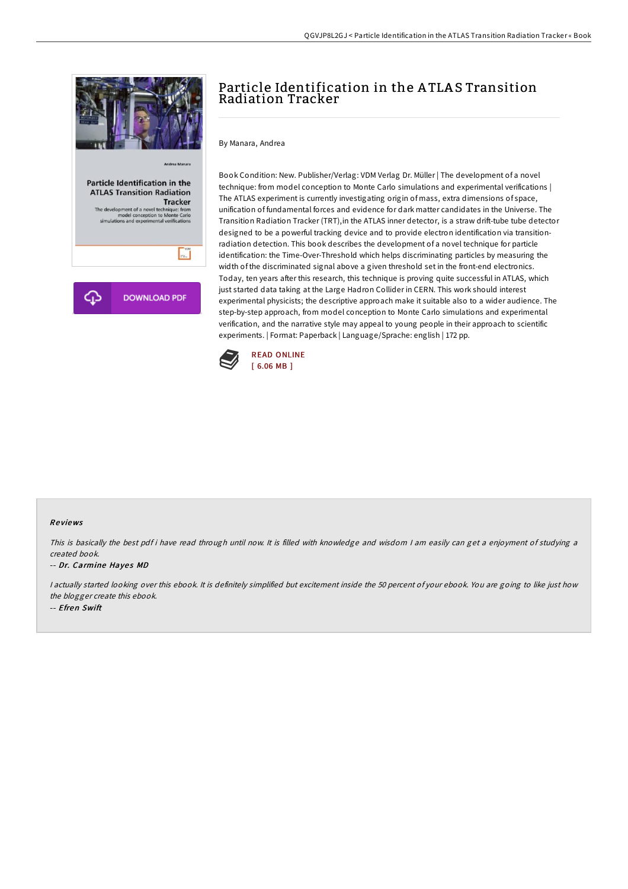

# Particle Identification in the A TLA S Transition Radiation Tracker

By Manara, Andrea

Book Condition: New. Publisher/Verlag: VDM Verlag Dr. Müller | The development of a novel technique: from model conception to Monte Carlo simulations and experimental verifications | The ATLAS experiment is currently investigating origin of mass, extra dimensions of space, unification of fundamental forces and evidence for dark matter candidates in the Universe. The Transition Radiation Tracker (TRT),in the ATLAS inner detector, is a straw drift-tube tube detector designed to be a powerful tracking device and to provide electron identification via transitionradiation detection. This book describes the development of a novel technique for particle identification: the Time-Over-Threshold which helps discriminating particles by measuring the width of the discriminated signal above a given threshold set in the front-end electronics. Today, ten years after this research, this technique is proving quite successful in ATLAS, which just started data taking at the Large Hadron Collider in CERN. This work should interest experimental physicists; the descriptive approach make it suitable also to a wider audience. The step-by-step approach, from model conception to Monte Carlo simulations and experimental verification, and the narrative style may appeal to young people in their approach to scientific experiments. | Format: Paperback | Language/Sprache: english | 172 pp.



#### Re views

This is basically the best pdf i have read through until now. It is filled with knowledge and wisdom I am easily can get a enjoyment of studying a created book.

#### -- Dr. Carmine Hayes MD

<sup>I</sup> actually started looking over this ebook. It is definitely simplified but excitement inside the 50 percent of your ebook. You are going to like just how the blogger create this ebook. -- Efren Swift